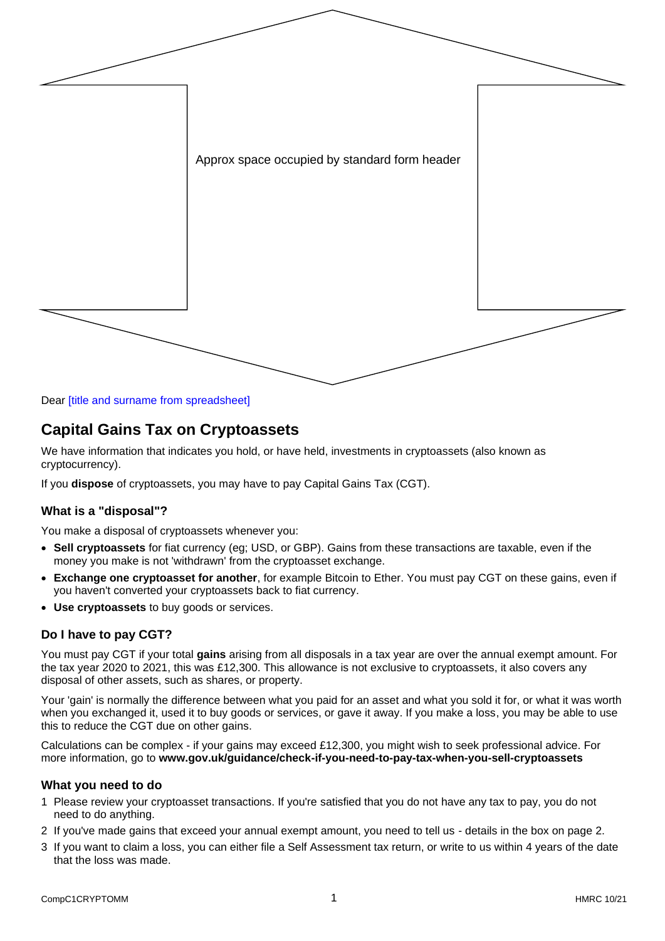

Dear [title and surname from spreadsheet]

## **Capital Gains Tax on Cryptoassets**

We have information that indicates you hold, or have held, investments in cryptoassets (also known as cryptocurrency).

If you **dispose** of cryptoassets, you may have to pay Capital Gains Tax (CGT).

## **What is a "disposal"?**

You make a disposal of cryptoassets whenever you:

- **Sell cryptoassets** for fiat currency (eg; USD, or GBP). Gains from these transactions are taxable, even if the money you make is not 'withdrawn' from the cryptoasset exchange.
- **Exchange one cryptoasset for another**, for example Bitcoin to Ether. You must pay CGT on these gains, even if you haven't converted your cryptoassets back to fiat currency.
- **Use cryptoassets** to buy goods or services.

### **Do I have to pay CGT?**

You must pay CGT if your total **gains** arising from all disposals in a tax year are over the annual exempt amount. For the tax year 2020 to 2021, this was £12,300. This allowance is not exclusive to cryptoassets, it also covers any disposal of other assets, such as shares, or property.

Your 'gain' is normally the difference between what you paid for an asset and what you sold it for, or what it was worth when you exchanged it, used it to buy goods or services, or gave it away. If you make a loss, you may be able to use this to reduce the CGT due on other gains.

Calculations can be complex - if your gains may exceed £12,300, you might wish to seek professional advice. For more information, go to **www.gov.uk/guidance/check-if-you-need-to-pay-tax-when-you-sell-cryptoassets**

### **What you need to do**

- 1 Please review your cryptoasset transactions. If you're satisfied that you do not have any tax to pay, you do not need to do anything.
- 2 If you've made gains that exceed your annual exempt amount, you need to tell us details in the box on page 2.
- 3 If you want to claim a loss, you can either file a Self Assessment tax return, or write to us within 4 years of the date that the loss was made.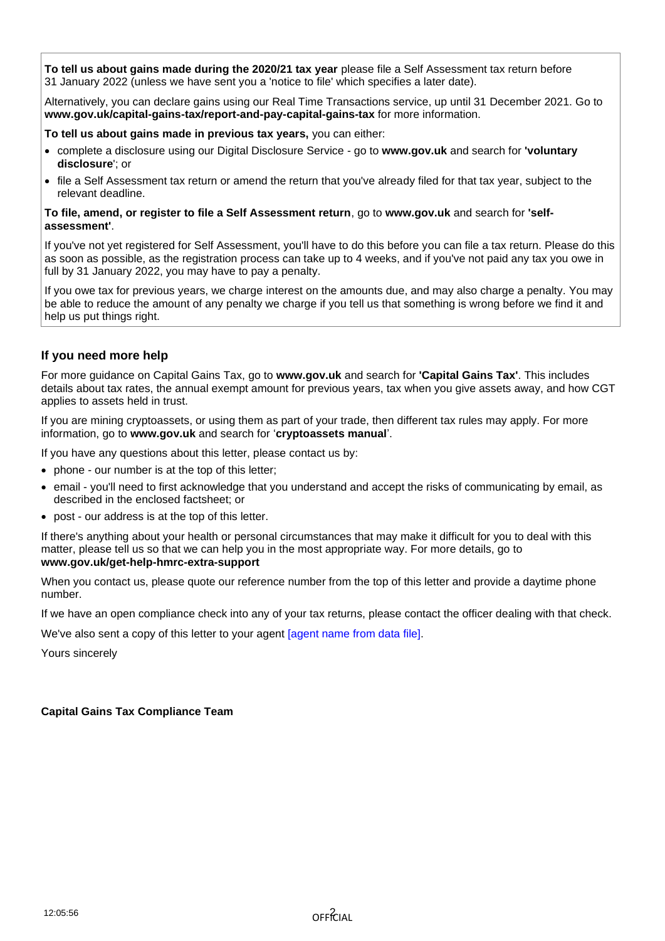**To tell us about gains made during the 2020/21 tax year** please file a Self Assessment tax return before 31 January 2022 (unless we have sent you a 'notice to file' which specifies a later date).

Alternatively, you can declare gains using our Real Time Transactions service, up until 31 December 2021. Go to **www.gov.uk/capital-gains-tax/report-and-pay-capital-gains-tax** for more information.

### **To tell us about gains made in previous tax years,** you can either:

- complete a disclosure using our Digital Disclosure Service go to **www.gov.uk** and search for **'voluntary disclosure**'; or
- file a Self Assessment tax return or amend the return that you've already filed for that tax year, subject to the relevant deadline.

#### **To file, amend, or register to file a Self Assessment return**, go to **www.gov.uk** and search for **'selfassessment'**.

If you've not yet registered for Self Assessment, you'll have to do this before you can file a tax return. Please do this as soon as possible, as the registration process can take up to 4 weeks, and if you've not paid any tax you owe in full by 31 January 2022, you may have to pay a penalty.

If you owe tax for previous years, we charge interest on the amounts due, and may also charge a penalty. You may be able to reduce the amount of any penalty we charge if you tell us that something is wrong before we find it and help us put things right.

## **If you need more help**

For more guidance on Capital Gains Tax, go to **www.gov.uk** and search for **'Capital Gains Tax'**. This includes details about tax rates, the annual exempt amount for previous years, tax when you give assets away, and how CGT applies to assets held in trust.

If you are mining cryptoassets, or using them as part of your trade, then different tax rules may apply. For more information, go to **www.gov.uk** and search for '**cryptoassets manual**'.

If you have any questions about this letter, please contact us by:

- phone our number is at the top of this letter;
- email you'll need to first acknowledge that you understand and accept the risks of communicating by email, as described in the enclosed factsheet; or
- post our address is at the top of this letter.

If there's anything about your health or personal circumstances that may make it difficult for you to deal with this matter, please tell us so that we can help you in the most appropriate way. For more details, go to **www.gov.uk/get-help-hmrc-extra-support**

When you contact us, please quote our reference number from the top of this letter and provide a daytime phone number.

If we have an open compliance check into any of your tax returns, please contact the officer dealing with that check.

We've also sent a copy of this letter to your agent [agent name from data file].

Yours sincerely

### **Capital Gains Tax Compliance Team**